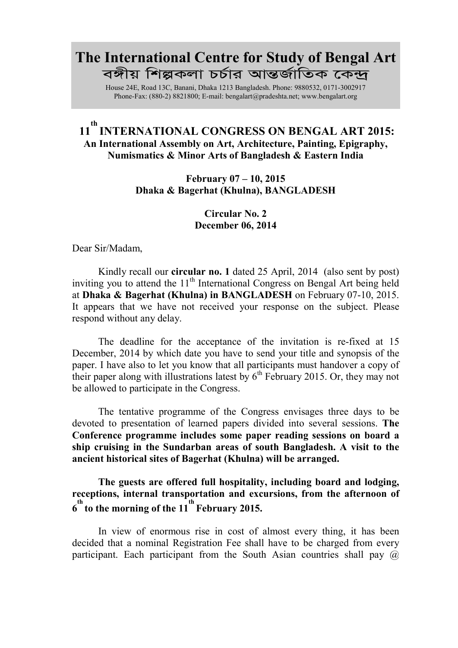## The International Centre for Study of Bengal Art *বঙ্গী*য় শিল্পকলা চৰ্চার আন্তর্জাতিক কেন্দ্র

House 24E, Road 13C, Banani, Dhaka 1213 Bangladesh. Phone: 9880532, 0171-3002917 Phone-Fax: (880-2) 8821800; E-ma[il: bengalart@pradeshta.net; www.](mailto:bengalart@pradeshta.net)[bengalart.org](http://www.bengalart.org/)

## 11<sup>th</sup> INTERNATIONAL CONGRESS ON BENGAL ART 2015: An International Assembly on Art, Architecture, Painting, Epigraphy, Numismatics & Minor Arts of Bangladesh & Eastern India

## February 07 – 10, 2015 Dhaka & Bagerhat (Khulna), BANGLADESH

Circular No. 2 December 06, 2014

Dear Sir/Madam,

Kindly recall our circular no. 1 dated 25 April, 2014(also sent by post) inviting you to attend the  $11<sup>th</sup>$  International Congress on Bengal Art being held at Dhaka & Bagerhat (Khulna) in BANGLADESH on February 07-10, 2015. It appears that we have not received your response on the subject. Please respond without any delay.

The deadline for the acceptance of the invitation is re-fixed at 15 December, 2014 by which date you have to send your title and synopsis of the paper. I have also to let you know that all participants must handover a copy of their paper along with illustrations latest by  $6<sup>th</sup>$  February 2015. Or, they may not be allowed to participate in the Congress.

The tentative programme of the Congress envisages three days to be devoted to presentation of learned papers divided into several sessions. The Conference programme includes some paper reading sessions on board a ship cruising in the Sundarban areas of south Bangladesh. A visit to the ancient historical sites of Bagerhat (Khulna) will be arranged.

## The guests are offered full hospitality, including board and lodging, receptions, internal transportation and excursions, from the afternoon of  $6<sup>th</sup>$  to the morning of the  $11<sup>th</sup>$  February 2015.

In view of enormous rise in cost of almost every thing, it has been decided that a nominal Registration Fee shall have to be charged from every participant. Each participant from the South Asian countries shall pay @